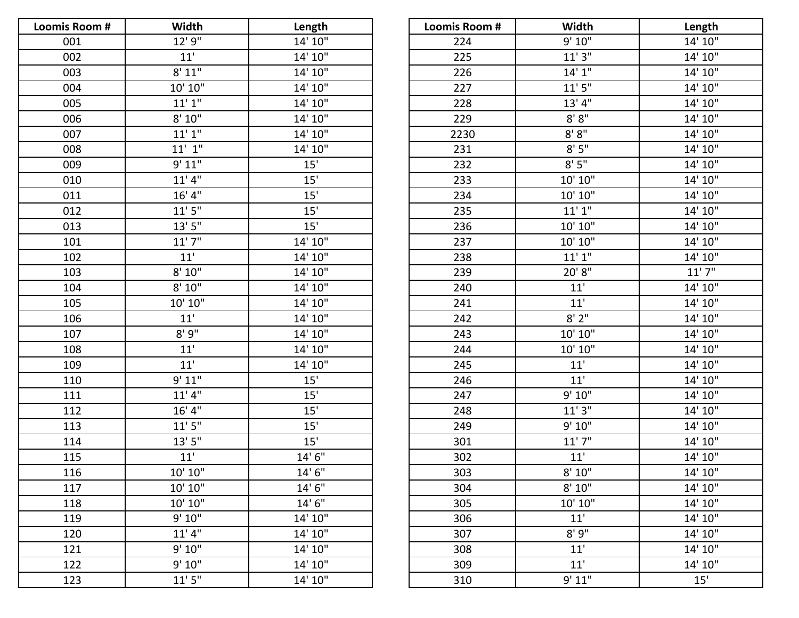| Loomis Room # | Width                             | Length  | Loomis Room # | Width      | Length  |
|---------------|-----------------------------------|---------|---------------|------------|---------|
| 001           | 12' 9"                            | 14' 10" | 224           | 9' 10"     | 14' 10" |
| 002           | 11'                               | 14' 10" | 225           | 11'3''     | 14' 10" |
| 003           | 8' 11"                            | 14' 10" | 226           | 14'1''     | 14' 10" |
| 004           | 10' 10"                           | 14' 10" | 227           | 11'5''     | 14' 10" |
| 005           | 11'1''                            | 14' 10" | 228           | 13' 4"     | 14' 10" |
| 006           | 8' 10''                           | 14' 10" | 229           | $8'8''$    | 14' 10" |
| 007           | 11'1''                            | 14' 10" | 2230          | $8'$ $8''$ | 14' 10" |
| 008           | $11'$ $1''$                       | 14' 10" | 231           | $8'$ $5''$ | 14' 10" |
| 009           | 9' 11"                            | 15'     | 232           | 8'5''      | 14' 10" |
| 010           | 11'4"                             | 15'     | 233           | 10' 10"    | 14' 10" |
| 011           | 16' 4''                           | 15'     | 234           | 10' 10"    | 14' 10" |
| 012           | $11'$ $5''$                       | 15'     | 235           | 11'1''     | 14' 10" |
| 013           | 13'5''                            | 15'     | 236           | 10' 10"    | 14' 10" |
| 101           | 11'7''                            | 14' 10" | 237           | 10' 10"    | 14' 10" |
| 102           | 11'                               | 14' 10" | 238           | 11'1''     | 14' 10" |
| 103           | 8' 10''                           | 14' 10" | 239           | 20' 8"     | 11'7''  |
| 104           | 8' 10''                           | 14' 10" | 240           | 11'        | 14' 10" |
| 105           | 10' 10"                           | 14' 10" | 241           | 11'        | 14' 10" |
| 106           | $11'$                             | 14' 10" | 242           | $8'$ 2"    | 14' 10" |
| 107           | 8'9''                             | 14' 10" | 243           | 10' 10"    | 14' 10" |
| 108           | 11'                               | 14' 10" | 244           | 10' 10"    | 14' 10" |
| 109           | 11'                               | 14' 10" | 245           | 11'        | 14' 10" |
| 110           | 9' 11"                            | 15'     | 246           | 11'        | 14' 10" |
| 111           | 11'4''                            | 15'     | 247           | 9' 10"     | 14' 10" |
| 112           | 16' 4''                           | 15'     | 248           | 11'3''     | 14' 10" |
| 113           | 11'5''                            | 15'     | 249           | 9' 10"     | 14' 10" |
| 114           | 13'5''                            | 15'     | 301           | 11'7''     | 14' 10" |
| 115           | $11'$                             | 14'6"   | 302           | $11'$      | 14' 10" |
| 116           | $10^{\prime}$ $10^{\prime\prime}$ | 14'6''  | 303           | 8' 10''    | 14' 10" |
| 117           | 10' 10"                           | 14' 6"  | 304           | 8' 10"     | 14' 10" |
| 118           | 10' 10"                           | 14' 6"  | 305           | 10' 10"    | 14' 10" |
| 119           | 9' 10"                            | 14' 10" | 306           | 11'        | 14' 10" |
| 120           | 11'4''                            | 14' 10" | 307           | 8'9''      | 14' 10" |
| 121           | 9' 10"                            | 14' 10" | 308           | 11'        | 14' 10" |
| 122           | 9' 10"                            | 14' 10" | 309           | 11'        | 14' 10" |
| 123           | 11'5''                            | 14' 10" | 310           | 9' 11"     | 15'     |

| Loomis Room # | Width                  | Length     |
|---------------|------------------------|------------|
| 224           | 9' 10"                 | 14' 10''   |
| 225           | 11'3''                 | 14' 10"    |
| 226           | 14'1''                 | 14' 10''   |
| 227           | 11'5''                 | 14' 10"    |
| 228           | 13' 4''                | 14' 10"    |
| 229           | $8'$ $8''$             | 14' 10"    |
| 2230          | 8' 8''                 | 14' 10"    |
| 231           | 8'5''                  | 14' 10''   |
| 232           | 8'5''                  | 14' 10"    |
| 233           | $10^\circ\,10^{\rm o}$ | 14' 10"    |
| 234           | 10' 10"                | 14' 10"    |
| 235           | $11^\circ\,1^\circ$    | 14' 10"    |
| 236           | 10' 10"                | 14' 10"    |
| 237           | 10' 10"                | 14' 10"    |
| 238           | 11'1''                 | 14' 10"    |
| 239           | 20' 8''                | $11'$ $7"$ |
| 240           | $11^{\prime}$          | 14' 10"    |
| 241           | 11'                    | 14' 10"    |
| 242           | $8'$ 2"                | 14' 10"    |
| 243           | 10' 10"                | 14' 10"    |
| 244           | 10' 10"                | 14' 10"    |
| 245           | $11'$                  | 14' 10"    |
| 246           | $11'$                  | 14' 10"    |
| 247           | 9' 10"                 | 14' 10"    |
| 248           | $11^\circ\,3^{\rm n}$  | 14' 10''   |
| 249           | 9' 10''                | 14' 10"    |
| 301           | $11'$ $7''$            | 14' 10''   |
| 302           | 11'                    | 14' 10"    |
| 303           | 8' 10"                 | 14' 10"    |
| 304           | $8'$ $10"$             | 14' 10"    |
| 305           | 10' 10"                | 14' 10"    |
| 306           | 11'                    | 14' 10"    |
| 307           | 8'9''                  | 14' 10"    |
| 308           | 11'                    | 14' 10"    |
| 309           | 11'                    | 14' 10"    |
| 310           | 9' 11"                 | 15'        |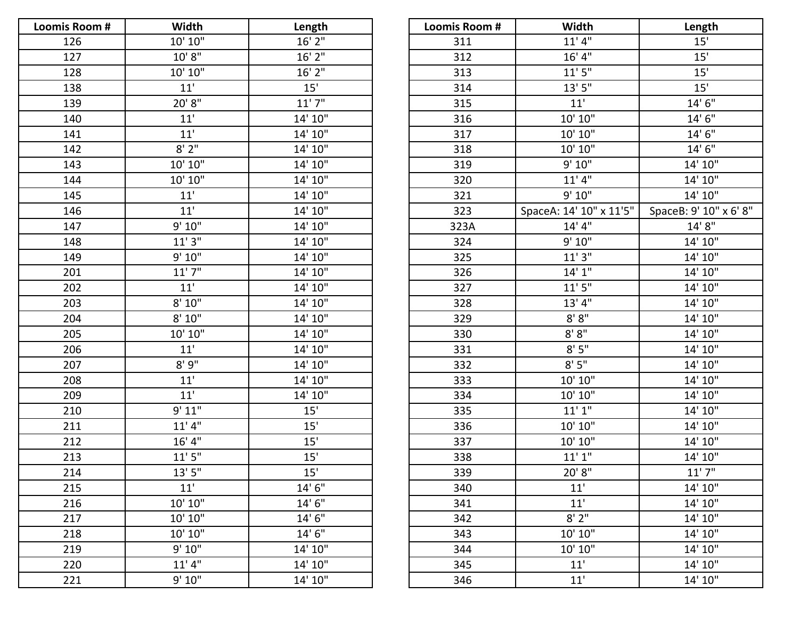| Loomis Room # | Width                             | Length   | Loomis Room # | Width                   | Length         |
|---------------|-----------------------------------|----------|---------------|-------------------------|----------------|
| 126           | $10^\circ\,10^{\rm o}$            | 16' 2"   | 311           | 11'4"                   | 15'            |
| 127           | 10' 8''                           | $16'$ 2" | 312           | 16' 4''                 | 15'            |
| 128           | $10^{\prime}$ $10^{\prime\prime}$ | 16' 2"   | 313           | 11'5''                  | 15'            |
| 138           | 11'                               | 15'      | 314           | 13'5''                  | 15'            |
| 139           | 20' 8"                            | 11'7''   | 315           | $11'$                   | 14'6''         |
| 140           | $11'$                             | 14' 10"  | 316           | 10' 10"                 | 14'6''         |
| 141           | 11'                               | 14' 10"  | 317           | 10' 10"                 | 14'6''         |
| 142           | 8'2''                             | 14' 10"  | 318           | 10' 10"                 | 14'6''         |
| 143           | 10' 10"                           | 14' 10"  | 319           | 9' 10"                  | 14' 10"        |
| 144           | 10' 10"                           | 14' 10"  | 320           | 11'4"                   | 14' 10"        |
| 145           | 11'                               | 14' 10"  | 321           | 9' 10"                  | 14' 10"        |
| 146           | $11'$                             | 14' 10"  | 323           | SpaceA: 14' 10" x 11'5" | SpaceB: 9' 10" |
| 147           | 9' 10"                            | 14' 10"  | 323A          | 14' 4''                 | 14'8''         |
| 148           | 11'3''                            | 14' 10"  | 324           | 9' 10"                  | 14' 10"        |
| 149           | 9' 10"                            | 14' 10"  | 325           | 11'3''                  | 14' 10"        |
| 201           | 11'7''                            | 14' 10"  | 326           | 14'1''                  | 14' 10"        |
| 202           | 11'                               | 14' 10"  | 327           | 11'5''                  | 14' 10"        |
| 203           | 8' 10''                           | 14' 10"  | 328           | 13' 4''                 | 14' 10"        |
| 204           | $8'$ $10''$                       | 14' 10"  | 329           | $8'$ $8''$              | 14' 10"        |
| 205           | 10' 10"                           | 14' 10"  | 330           | 8' 8''                  | 14' 10"        |
| 206           | $11'$                             | 14' 10"  | 331           | 8'5''                   | 14' 10"        |
| 207           | 8'9''                             | 14' 10"  | 332           | 8'5''                   | 14' 10"        |
| 208           | 11'                               | 14' 10"  | 333           | 10' 10"                 | 14' 10"        |
| 209           | 11'                               | 14' 10"  | 334           | 10' 10''                | 14' 10"        |
| 210           | 9' 11"                            | 15'      | 335           | 11'1''                  | 14' 10"        |
| 211           | 11'4''                            | 15'      | 336           | 10' 10"                 | 14' 10"        |
| 212           | 16' 4''                           | 15'      | 337           | 10' 10"                 | 14' 10"        |
| 213           | 11'5''                            | 15'      | 338           | 11'1''                  | 14' 10"        |
| 214           | 13'5''                            | 15'      | 339           | 20'8"                   | 11'7''         |
| 215           | 11'                               | 14'6''   | 340           | 11'                     | 14' 10"        |
| 216           | 10' 10"                           | 14'6''   | 341           | 11'                     | 14' 10"        |
| 217           | 10' 10''                          | 14' 6"   | 342           | 8'2''                   | 14' 10"        |
| 218           | 10' 10"                           | 14'6''   | 343           | 10' 10"                 | 14' 10"        |
| 219           | 9' 10"                            | 14' 10"  | 344           | 10' 10"                 | 14' 10"        |
| 220           | 11'4''                            | 14' 10"  | 345           | 11'                     | 14' 10"        |
| 221           | 9' 10"                            | 14' 10"  | 346           | 11'                     | 14' 10"        |

| Width   | Length   | Loomis Room # | Width                   | Length                 |
|---------|----------|---------------|-------------------------|------------------------|
| 10' 10" | $16'$ 2" | 311           | 11'4''                  | 15'                    |
| 10' 8'' | $16'$ 2" | 312           | 16' 4''                 | 15'                    |
| 10' 10" | $16'$ 2" | 313           | 11'5''                  | 15'                    |
| 11'     | 15'      | 314           | 13'5''                  | 15'                    |
| 20' 8"  | 11'7''   | 315           | 11'                     | 14'6''                 |
| 11'     | 14' 10"  | 316           | 10' 10"                 | 14' 6"                 |
| 11'     | 14' 10"  | 317           | 10' 10"                 | 14'6''                 |
| 8'2''   | 14' 10"  | 318           | 10' 10"                 | 14'6''                 |
| 10' 10" | 14' 10"  | 319           | 9' 10"                  | 14' 10"                |
| 10' 10" | 14' 10"  | 320           | 11'4''                  | 14' 10"                |
| 11'     | 14' 10"  | 321           | 9' 10"                  | 14' 10"                |
| 11'     | 14' 10"  | 323           | SpaceA: 14' 10" x 11'5" | SpaceB: 9' 10" x 6' 8" |
| 9' 10"  | 14' 10"  | 323A          | 14' 4''                 | 14'8"                  |
| 11'3''  | 14' 10"  | 324           | 9' 10"                  | 14' 10"                |
| 9' 10"  | 14' 10"  | 325           | 11'3''                  | 14' 10"                |
| 11'7''  | 14' 10"  | 326           | 14'1''                  | 14' 10"                |
| 11'     | 14' 10"  | 327           | 11'5''                  | 14' 10"                |
| 8' 10"  | 14' 10"  | 328           | 13' 4"                  | 14' 10"                |
| 8' 10"  | 14' 10"  | 329           | 8'8"                    | 14' 10"                |
| 10' 10" | 14' 10"  | 330           | 8' 8''                  | 14' 10"                |
| 11'     | 14' 10"  | 331           | 8'5''                   | 14' 10"                |
| 8'9''   | 14' 10"  | 332           | 8'5''                   | 14' 10"                |
| 11'     | 14' 10"  | 333           | 10' 10"                 | 14' 10"                |
| 11'     | 14' 10"  | 334           | 10' 10"                 | 14' 10"                |
| 9' 11"  | 15'      | 335           | 11'1''                  | 14' 10"                |
| 11'4''  | 15'      | 336           | 10' 10"                 | 14' 10"                |
| 16' 4"  | 15'      | 337           | 10' 10"                 | 14' 10"                |
| 11'5''  | 15'      | 338           | 11'1''                  | 14' 10"                |
| 13'5''  | 15'      | 339           | 20' 8"                  | 11'7''                 |
| 11'     | 14' 6"   | 340           | 11'                     | 14' 10"                |
| 10' 10" | 14' 6"   | 341           | 11'                     | 14' 10"                |
| 10' 10" | 14' 6"   | 342           | 8'2"                    | 14' 10"                |
| 10' 10" | 14' 6"   | 343           | 10' 10"                 | 14' 10"                |
| 9' 10"  | 14' 10"  | 344           | 10' 10"                 | 14' 10"                |
| 11'4"   | 14' 10"  | 345           | 11'                     | 14' 10"                |
| 9' 10"  | 14' 10"  | 346           | 11'                     | 14' 10"                |
|         |          |               |                         |                        |